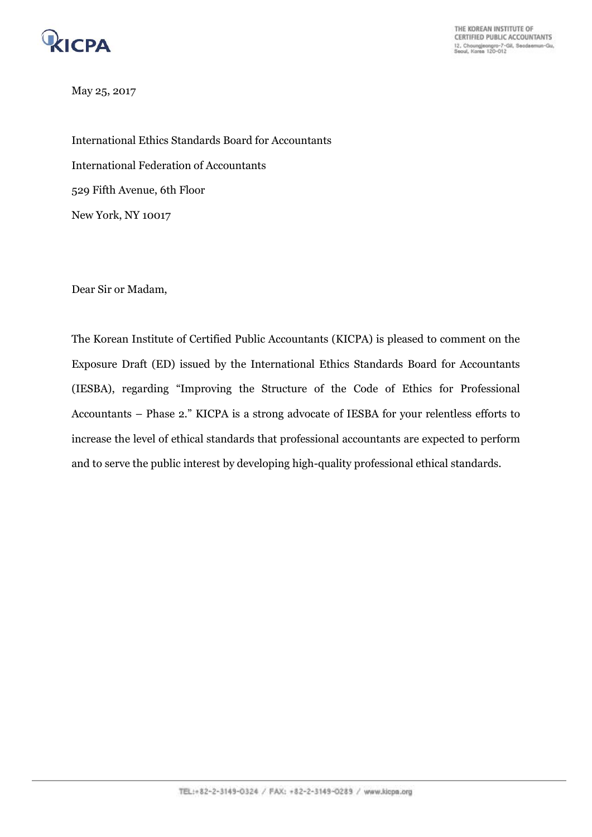

THE KOREAN INSTITUTE OF CERTIFIED PUBLIC ACCOUNTANTS 12, Choungjeongro-7-Gil, Seodaemun-Gu,<br>Seoul, Korea 120-012

May 25, 2017

International Ethics Standards Board for Accountants International Federation of Accountants 529 Fifth Avenue, 6th Floor New York, NY 10017

Dear Sir or Madam,

The Korean Institute of Certified Public Accountants (KICPA) is pleased to comment on the Exposure Draft (ED) issued by the International Ethics Standards Board for Accountants (IESBA), regarding "Improving the Structure of the Code of Ethics for Professional Accountants – Phase 2." KICPA is a strong advocate of IESBA for your relentless efforts to increase the level of ethical standards that professional accountants are expected to perform and to serve the public interest by developing high-quality professional ethical standards.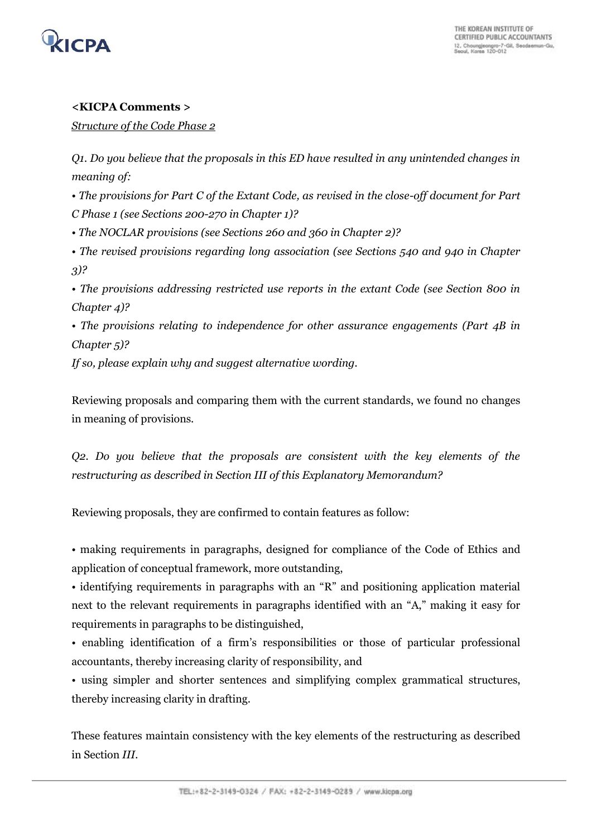

## **<KICPA Comments >**

*Structure of the Code Phase 2*

*Q1. Do you believe that the proposals in this ED have resulted in any unintended changes in meaning of:* 

*• The provisions for Part C of the Extant Code, as revised in the close-off document for Part C Phase 1 (see Sections 200-270 in Chapter 1)?* 

*• The NOCLAR provisions (see Sections 260 and 360 in Chapter 2)?* 

*• The revised provisions regarding long association (see Sections 540 and 940 in Chapter 3)?* 

*• The provisions addressing restricted use reports in the extant Code (see Section 800 in Chapter 4)?* 

*• The provisions relating to independence for other assurance engagements (Part 4B in Chapter 5)?* 

*If so, please explain why and suggest alternative wording.* 

Reviewing proposals and comparing them with the current standards, we found no changes in meaning of provisions.

*Q2. Do you believe that the proposals are consistent with the key elements of the restructuring as described in Section III of this Explanatory Memorandum?* 

Reviewing proposals, they are confirmed to contain features as follow:

• making requirements in paragraphs, designed for compliance of the Code of Ethics and application of conceptual framework, more outstanding,

• identifying requirements in paragraphs with an "R" and positioning application material next to the relevant requirements in paragraphs identified with an "A," making it easy for requirements in paragraphs to be distinguished,

• enabling identification of a firm's responsibilities or those of particular professional accountants, thereby increasing clarity of responsibility, and

• using simpler and shorter sentences and simplifying complex grammatical structures, thereby increasing clarity in drafting.

These features maintain consistency with the key elements of the restructuring as described in Section *III.*